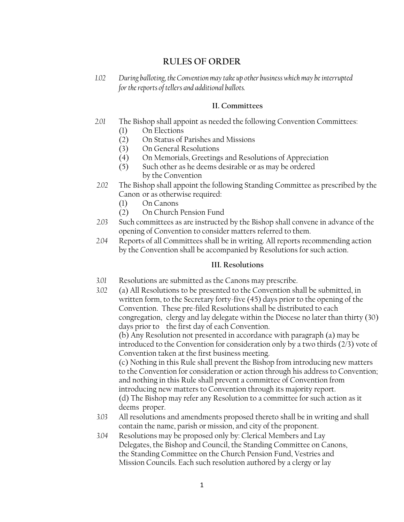# **RULES OF ORDER**

*1.02 During balloting, the Convention may take up other business which may be interrupted for the reports of tellers and additional ballots.*

#### **II. Committees**

- *2.01* The Bishop shall appoint as needed the following Convention Committees: (1) On Elections
	- (2) On Status of Parishes and Missions
	- (3) On General Resolutions
	- (4) On Memorials, Greetings and Resolutions of Appreciation
	- (5) Such other as he deems desirable or as may be ordered by the Convention
- *2.02* The Bishop shall appoint the following Standing Committee as prescribed by the Canon or as otherwise required:
	- (1) On Canons
	- (2) On Church Pension Fund
- *2.03* Such committees as are instructed by the Bishop shall convene in advance of the opening of Convention to consider matters referred to them.
- *2.04* Reports of all Committees shall be in writing. All reports recommending action by the Convention shall be accompanied by Resolutions for such action.

### **III. Resolutions**

- *3.01* Resolutions are submitted as the Canons may prescribe.
- *3.02* (a) All Resolutions to be presented to the Convention shall be submitted, in written form, to the Secretary forty-five (45) days prior to the opening of the Convention. These pre-filed Resolutions shall be distributed to each congregation, clergy and lay delegate within the Diocese no later than thirty (30) days prior to the first day of each Convention.

(b) Any Resolution not presented in accordance with paragraph (a) may be introduced to the Convention for consideration only by a two thirds (2/3) vote of Convention taken at the first business meeting.

 (c) Nothing in this Rule shall prevent the Bishop from introducing new matters to the Convention for consideration or action through his address to Convention; and nothing in this Rule shall prevent a committee of Convention from introducing new matters to Convention through its majority report. (d) The Bishop may refer any Resolution to a committee for such action as it deems proper.

- *3.03* All resolutions and amendments proposed thereto shall be in writing and shall contain the name, parish or mission, and city of the proponent.
- *3.04* Resolutions may be proposed only by: Clerical Members and Lay Delegates, the Bishop and Council, the Standing Committee on Canons, the Standing Committee on the Church Pension Fund, Vestries and Mission Councils. Each such resolution authored by a clergy or lay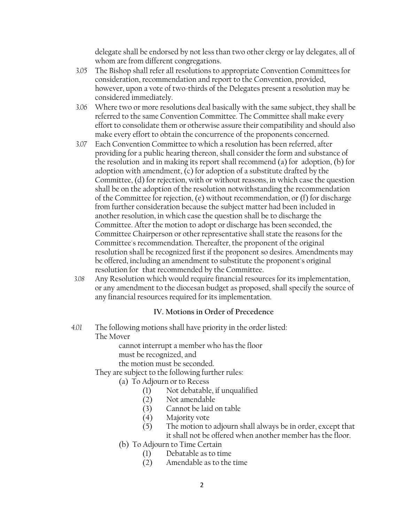delegate shall be endorsed by not less than two other clergy or lay delegates, all of whom are from different congregations.

- *3.05* The Bishop shall refer all resolutions to appropriate Convention Committees for consideration, recommendation and report to the Convention, provided, however, upon a vote of two-thirds of the Delegates present a resolution may be considered immediately.
- *3.06* Where two or more resolutions deal basically with the same subject, they shall be referred to the same Convention Committee. The Committee shall make every effort to consolidate them or otherwise assure their compatibility and should also make every effort to obtain the concurrence of the proponents concerned.
- *3.07* Each Convention Committee to which a resolution has been referred, after providing for a public hearing thereon, shall consider the form and substance of the resolution and in making its report shall recommend (a) for adoption, (b) for adoption with amendment, (c) for adoption of a substitute drafted by the Committee, (d) for rejection, with or without reasons, in which case the question shall be on the adoption of the resolution notwithstanding the recommendation of the Committee for rejection, (e) without recommendation, or (f) for discharge from further consideration because the subject matter had been included in another resolution, in which case the question shall be to discharge the Committee. After the motion to adopt or discharge has been seconded, the Committee Chairperson or other representative shall state the reasons for the Committee's recommendation. Thereafter, the proponent of the original resolution shall be recognized first if the proponent so desires. Amendments may be offered, including an amendment to substitute the proponent's original resolution for that recommended by the Committee.
- *3.08* Any Resolution which would require financial resources for its implementation, or any amendment to the diocesan budget as proposed, shall specify the source of any financial resources required for its implementation.

### **IV. Motions in Order of Precedence**

*4.01* The following motions shall have priority in the order listed: The Mover

> cannot interrupt a member who has the floor must be recognized, and

the motion must be seconded.

They are subject to the following further rules:

- (a) To Adjourn or to Recess
	- (1) Not debatable, if unqualified
	- (2) Not amendable
	- (3) Cannot be laid on table
	- (4) Majority vote
	- (5) The motion to adjourn shall always be in order, except that it shall not be offered when another member has the floor.
- (b) To Adjourn to Time Certain
	- (1) Debatable as to time
	- (2) Amendable as to the time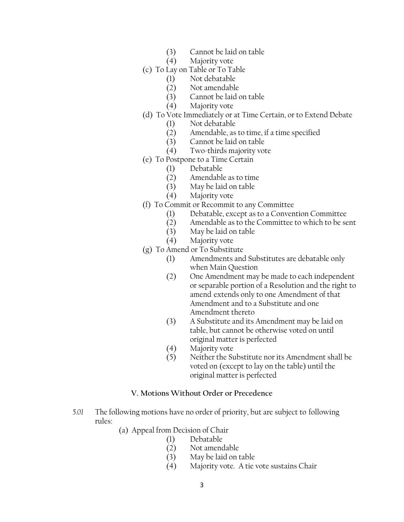- (3) Cannot be laid on table
- (4) Majority vote
- (c) To Lay on Table or To Table
	- (1) Not debatable
	- (2) Not amendable
	- (3) Cannot be laid on table
	- (4) Majority vote
- (d) To Vote Immediately or at Time Certain, or to Extend Debate
	- (1) Not debatable
	- (2) Amendable, as to time, if a time specified
	- (3) Cannot be laid on table
	- (4) Two-thirds majority vote
- (e) To Postpone to a Time Certain
	- (1) Debatable
	- (2) Amendable as to time
	- (3) May be laid on table
	- (4) Majority vote
- (f) To Commit or Recommit to any Committee
	- (1) Debatable, except as to a Convention Committee
	- (2) Amendable as to the Committee to which to be sent
	- (3) May be laid on table
	- (4) Majority vote
- (g) To Amend or To Substitute
	- (1) Amendments and Substitutes are debatable only when Main Question
	- (2) One Amendment may be made to each independent or separable portion of a Resolution and the right to amend extends only to one Amendment of that Amendment and to a Substitute and one Amendment thereto
	- (3) A Substitute and its Amendment may be laid on table, but cannot be otherwise voted on until original matter is perfected
	- (4) Majority vote
	- (5) Neither the Substitute nor its Amendment shall be voted on (except to lay on the table) until the original matter is perfected

## **V. Motions Without Order or Precedence**

- *5.01* The following motions have no order of priority, but are subject to following rules:
	- (a) Appeal from Decision of Chair
		- (1) Debatable
		- (2) Not amendable
		- (3) May be laid on table
		- (4) Majority vote. A tie vote sustains Chair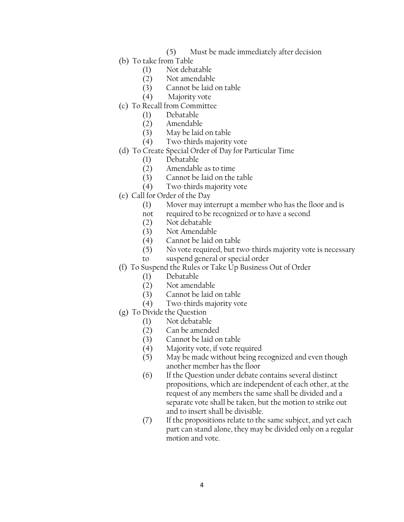- (5) Must be made immediately after decision
- (b) To take from Table
	- (1) Not debatable
	- (2) Not amendable
	- (3) Cannot be laid on table
	- (4) Majority vote
- (c) To Recall from Committee
	- (1) Debatable
	- (2) Amendable
	- (3) May be laid on table
	- (4) Two-thirds majority vote
- (d) To Create Special Order of Day for Particular Time
	- (1) Debatable
	- (2) Amendable as to time
	- (3) Cannot be laid on the table
	- (4) Two-thirds majority vote
- (e) Call for Order of the Day
	- (1) Mover may interrupt a member who has the floor and is
	- not required to be recognized or to have a second
	- (2) Not debatable
	- (3) Not Amendable
	- (4) Cannot be laid on table
	- (5) No vote required, but two-thirds majority vote is necessary
	- to suspend general or special order
- (f) To Suspend the Rules or Take Up Business Out of Order
	- (1) Debatable
	- (2) Not amendable
	- (3) Cannot be laid on table
	- (4) Two-thirds majority vote
- (g) To Divide the Question
	- (1) Not debatable<br>(2) Can be amende
	- Can be amended
	- (3) Cannot be laid on table
	- (4) Majority vote, if vote required
	- (5) May be made without being recognized and even though another member has the floor
	- (6) If the Question under debate contains several distinct propositions, which are independent of each other, at the request of any members the same shall be divided and a separate vote shall be taken, but the motion to strike out and to insert shall be divisible.
	- (7) If the propositions relate to the same subject, and yet each part can stand alone, they may be divided only on a regular motion and vote.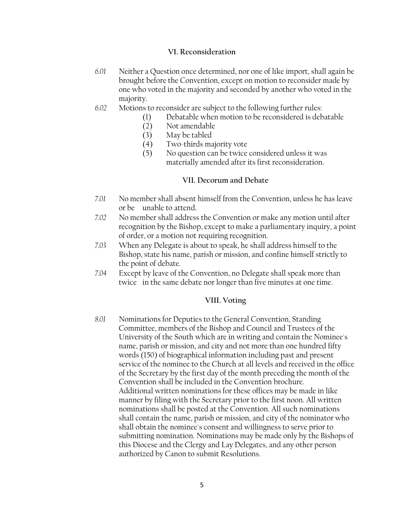#### **VI. Reconsideration**

- *6.01* Neither a Question once determined, nor one of like import, shall again be brought before the Convention, except on motion to reconsider made by one who voted in the majority and seconded by another who voted in the majority.
- *6.02* Motions to reconsider are subject to the following further rules:
	- (1) Debatable when motion to be reconsidered is debatable
	- (2) Not amendable
	- (3) May be tabled
	- (4) Two-thirds majority vote
	- (5) No question can be twice considered unless it was materially amended after its first reconsideration.

#### **VII. Decorum and Debate**

- *7.01* No member shall absent himself from the Convention, unless he has leave or be unable to attend.
- *7.02* No member shall address the Convention or make any motion until after recognition by the Bishop, except to make a parliamentary inquiry, a point of order, or a motion not requiring recognition.
- *7.03* When any Delegate is about to speak, he shall address himself to the Bishop, state his name, parish or mission, and confine himself strictly to the point of debate.
- *7.04* Except by leave of the Convention, no Delegate shall speak more than twice in the same debate nor longer than five minutes at one time.

#### **VIII. Voting**

*8.01* Nominations for Deputies to the General Convention, Standing Committee, members of the Bishop and Council and Trustees of the University of the South which are in writing and contain the Nominee's name, parish or mission, and city and not more than one hundred fifty words (150) of biographical information including past and present service of the nominee to the Church at all levels and received in the office of the Secretary by the first day of the month preceding the month of the Convention shall be included in the Convention brochure. Additional written nominations for these offices may be made in like manner by filing with the Secretary prior to the first noon. All written nominations shall be posted at the Convention. All such nominations shall contain the name, parish or mission, and city of the nominator who shall obtain the nominee's consent and willingness to serve prior to submitting nomination. Nominations may be made only by the Bishops of this Diocese and the Clergy and Lay Delegates, and any other person authorized by Canon to submit Resolutions.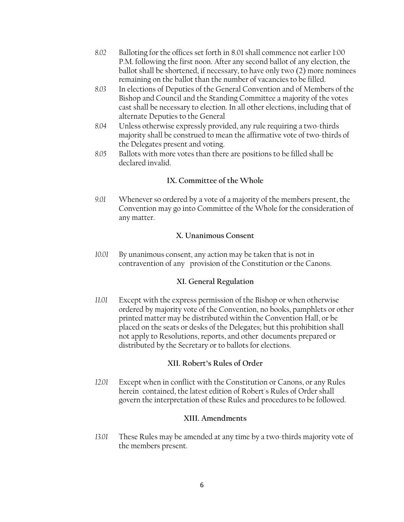- *8.02* Balloting for the offices set forth in 8.01 shall commence not earlier 1:00 P.M. following the first noon. After any second ballot of any election, the ballot shall be shortened, if necessary, to have only two (2) more nominees remaining on the ballot than the number of vacancies to be filled.
- *8.03* In elections of Deputies of the General Convention and of Members of the Bishop and Council and the Standing Committee a majority of the votes cast shall be necessary to election. In all other elections, including that of alternate Deputies to the General
- *8.04* Unless otherwise expressly provided, any rule requiring a two-thirds majority shall be construed to mean the affirmative vote of two-thirds of the Delegates present and voting.
- *8.05* Ballots with more votes than there are positions to be filled shall be declared invalid.

## **IX. Committee of the Whole**

 *9.01* Whenever so ordered by a vote of a majority of the members present, the Convention may go into Committee of the Whole for the consideration of any matter.

#### **X. Unanimous Consent**

 *10.01* By unanimous consent, any action may be taken that is not in contravention of any provision of the Constitution or the Canons.

### **XI. General Regulation**

 *11.01* Except with the express permission of the Bishop or when otherwise ordered by majority vote of the Convention, no books, pamphlets or other printed matter may be distributed within the Convention Hall, or be placed on the seats or desks of the Delegates; but this prohibition shall not apply to Resolutions, reports, and other documents prepared or distributed by the Secretary or to ballots for elections.

### **XII. Robert's Rules of Order**

 *12.01* Except when in conflict with the Constitution or Canons, or any Rules herein contained, the latest edition of Robert's Rules of Order shall govern the interpretation of these Rules and procedures to be followed.

### **XIII. Amendments**

 *13.01* These Rules may be amended at any time by a two-thirds majority vote of the members present.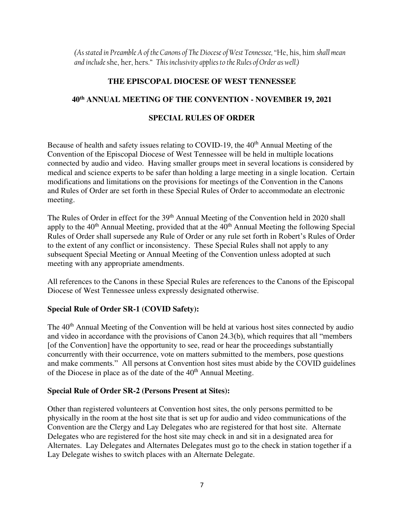*(As stated in Preamble A of the Canons of The Diocese of West Tennessee, "*He, his, him *shall mean and include* she, her, hers." *This inclusivity applies to the Rules of Order as well.)* 

## **THE EPISCOPAL DIOCESE OF WEST TENNESSEE**

# **40th ANNUAL MEETING OF THE CONVENTION - NOVEMBER 19, 2021**

## **SPECIAL RULES OF ORDER**

Because of health and safety issues relating to COVID-19, the 40<sup>th</sup> Annual Meeting of the Convention of the Episcopal Diocese of West Tennessee will be held in multiple locations connected by audio and video. Having smaller groups meet in several locations is considered by medical and science experts to be safer than holding a large meeting in a single location. Certain modifications and limitations on the provisions for meetings of the Convention in the Canons and Rules of Order are set forth in these Special Rules of Order to accommodate an electronic meeting.

The Rules of Order in effect for the 39<sup>th</sup> Annual Meeting of the Convention held in 2020 shall apply to the  $40<sup>th</sup>$  Annual Meeting, provided that at the  $40<sup>th</sup>$  Annual Meeting the following Special Rules of Order shall supersede any Rule of Order or any rule set forth in Robert's Rules of Order to the extent of any conflict or inconsistency. These Special Rules shall not apply to any subsequent Special Meeting or Annual Meeting of the Convention unless adopted at such meeting with any appropriate amendments.

All references to the Canons in these Special Rules are references to the Canons of the Episcopal Diocese of West Tennessee unless expressly designated otherwise.

## **Special Rule of Order SR-1 (COVID Safety):**

The 40<sup>th</sup> Annual Meeting of the Convention will be held at various host sites connected by audio and video in accordance with the provisions of Canon 24.3(b), which requires that all "members [of the Convention] have the opportunity to see, read or hear the proceedings substantially concurrently with their occurrence, vote on matters submitted to the members, pose questions and make comments." All persons at Convention host sites must abide by the COVID guidelines of the Diocese in place as of the date of the 40<sup>th</sup> Annual Meeting.

### **Special Rule of Order SR-2 (Persons Present at Sites):**

Other than registered volunteers at Convention host sites, the only persons permitted to be physically in the room at the host site that is set up for audio and video communications of the Convention are the Clergy and Lay Delegates who are registered for that host site. Alternate Delegates who are registered for the host site may check in and sit in a designated area for Alternates. Lay Delegates and Alternates Delegates must go to the check in station together if a Lay Delegate wishes to switch places with an Alternate Delegate.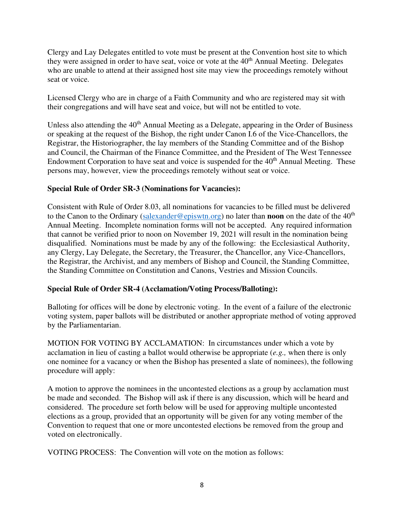Clergy and Lay Delegates entitled to vote must be present at the Convention host site to which they were assigned in order to have seat, voice or vote at the  $40<sup>th</sup>$  Annual Meeting. Delegates who are unable to attend at their assigned host site may view the proceedings remotely without seat or voice.

Licensed Clergy who are in charge of a Faith Community and who are registered may sit with their congregations and will have seat and voice, but will not be entitled to vote.

Unless also attending the  $40<sup>th</sup>$  Annual Meeting as a Delegate, appearing in the Order of Business or speaking at the request of the Bishop, the right under Canon I.6 of the Vice-Chancellors, the Registrar, the Historiographer, the lay members of the Standing Committee and of the Bishop and Council, the Chairman of the Finance Committee, and the President of The West Tennessee Endowment Corporation to have seat and voice is suspended for the  $40<sup>th</sup>$  Annual Meeting. These persons may, however, view the proceedings remotely without seat or voice.

## **Special Rule of Order SR-3 (Nominations for Vacancies):**

Consistent with Rule of Order 8.03, all nominations for vacancies to be filled must be delivered to the Canon to the Ordinary [\(salexander@episwtn.org\)](mailto:salexander@episwtn.org) no later than **noon** on the date of the 40th Annual Meeting. Incomplete nomination forms will not be accepted. Any required information that cannot be verified prior to noon on November 19, 2021 will result in the nomination being disqualified. Nominations must be made by any of the following: the Ecclesiastical Authority, any Clergy, Lay Delegate, the Secretary, the Treasurer, the Chancellor, any Vice-Chancellors, the Registrar, the Archivist, and any members of Bishop and Council, the Standing Committee, the Standing Committee on Constitution and Canons, Vestries and Mission Councils.

## **Special Rule of Order SR-4 (Acclamation/Voting Process/Balloting):**

Balloting for offices will be done by electronic voting. In the event of a failure of the electronic voting system, paper ballots will be distributed or another appropriate method of voting approved by the Parliamentarian.

MOTION FOR VOTING BY ACCLAMATION: In circumstances under which a vote by acclamation in lieu of casting a ballot would otherwise be appropriate (*e.g.,* when there is only one nominee for a vacancy or when the Bishop has presented a slate of nominees), the following procedure will apply:

A motion to approve the nominees in the uncontested elections as a group by acclamation must be made and seconded. The Bishop will ask if there is any discussion, which will be heard and considered. The procedure set forth below will be used for approving multiple uncontested elections as a group, provided that an opportunity will be given for any voting member of the Convention to request that one or more uncontested elections be removed from the group and voted on electronically.

VOTING PROCESS: The Convention will vote on the motion as follows: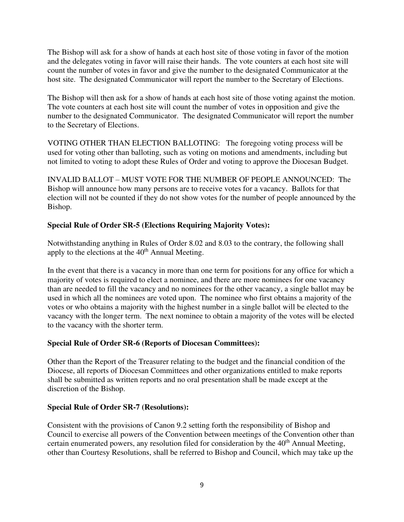The Bishop will ask for a show of hands at each host site of those voting in favor of the motion and the delegates voting in favor will raise their hands. The vote counters at each host site will count the number of votes in favor and give the number to the designated Communicator at the host site. The designated Communicator will report the number to the Secretary of Elections.

The Bishop will then ask for a show of hands at each host site of those voting against the motion. The vote counters at each host site will count the number of votes in opposition and give the number to the designated Communicator. The designated Communicator will report the number to the Secretary of Elections.

VOTING OTHER THAN ELECTION BALLOTING: The foregoing voting process will be used for voting other than balloting, such as voting on motions and amendments, including but not limited to voting to adopt these Rules of Order and voting to approve the Diocesan Budget.

INVALID BALLOT – MUST VOTE FOR THE NUMBER OF PEOPLE ANNOUNCED: The Bishop will announce how many persons are to receive votes for a vacancy. Ballots for that election will not be counted if they do not show votes for the number of people announced by the Bishop.

## **Special Rule of Order SR-5 (Elections Requiring Majority Votes):**

Notwithstanding anything in Rules of Order 8.02 and 8.03 to the contrary, the following shall apply to the elections at the  $40<sup>th</sup>$  Annual Meeting.

In the event that there is a vacancy in more than one term for positions for any office for which a majority of votes is required to elect a nominee, and there are more nominees for one vacancy than are needed to fill the vacancy and no nominees for the other vacancy, a single ballot may be used in which all the nominees are voted upon. The nominee who first obtains a majority of the votes or who obtains a majority with the highest number in a single ballot will be elected to the vacancy with the longer term. The next nominee to obtain a majority of the votes will be elected to the vacancy with the shorter term.

## **Special Rule of Order SR-6 (Reports of Diocesan Committees):**

Other than the Report of the Treasurer relating to the budget and the financial condition of the Diocese, all reports of Diocesan Committees and other organizations entitled to make reports shall be submitted as written reports and no oral presentation shall be made except at the discretion of the Bishop.

### **Special Rule of Order SR-7 (Resolutions):**

Consistent with the provisions of Canon 9.2 setting forth the responsibility of Bishop and Council to exercise all powers of the Convention between meetings of the Convention other than certain enumerated powers, any resolution filed for consideration by the  $40<sup>th</sup>$  Annual Meeting, other than Courtesy Resolutions, shall be referred to Bishop and Council, which may take up the